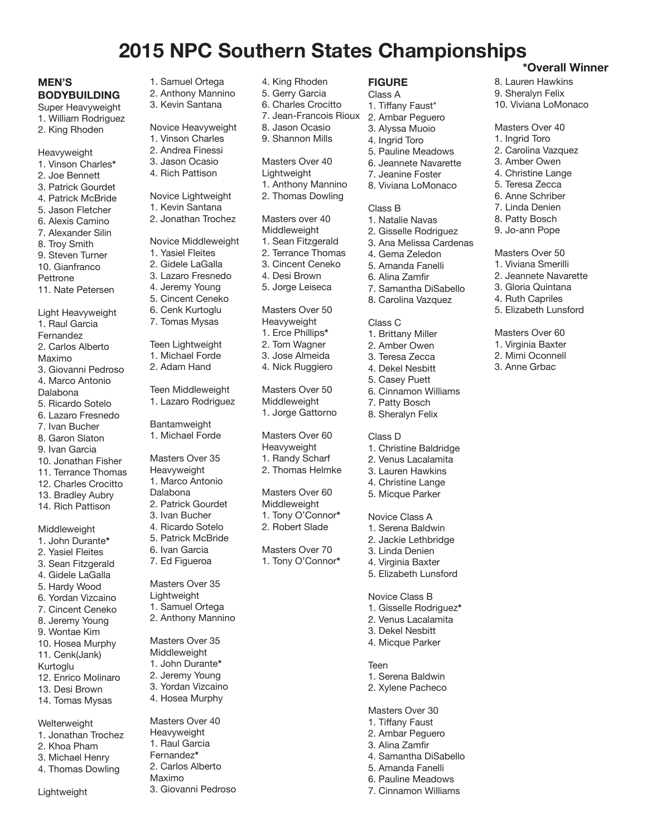# **2015 NPC Southern States Championships \*Overall Winner**

# **MEN'S BODYBUILDING**

Super Heavyweight 1. William Rodriguez

- 2. King Rhoden
- Heavyweight
- 1. Vinson Charles**\*** 2. Joe Bennett
- 3. Patrick Gourdet
- 4. Patrick McBride
- 5. Jason Fletcher
- 6. Alexis Camino
- 7. Alexander Silin
- 8. Troy Smith
- 9. Steven Turner
- 10. Gianfranco Pettrone
- 11. Nate Petersen
- Light Heavyweight 1. Raul Garcia Fernandez
- 2. Carlos Alberto Maximo 3. Giovanni Pedroso 4. Marco Antonio Dalabona 5. Ricardo Sotelo 6. Lazaro Fresnedo
- 7. Ivan Bucher 8. Garon Slaton
- 9. Ivan Garcia
- 10. Jonathan Fisher
- 11. Terrance Thomas
- 12. Charles Crocitto
- 13. Bradley Aubry
- 14. Rich Pattison

# Middleweight

- 1. John Durante**\*** 2. Yasiel Fleites 3. Sean Fitzgerald 4. Gidele LaGalla 5. Hardy Wood 6. Yordan Vizcaino 7. Cincent Ceneko 8. Jeremy Young 9. Wontae Kim 10. Hosea Murphy 11. Cenk(Jank) Kurtoglu 12. Enrico Molinaro 13. Desi Brown
- 14. Tomas Mysas
- **Welterweight** 1. Jonathan Trochez 2. Khoa Pham 3. Michael Henry
- 4. Thomas Dowling

Lightweight

4. Rich Pattison Novice Lightweight 1. Kevin Santana 2. Jonathan Trochez Novice Middleweight 1. Yasiel Fleites 2. Gidele LaGalla 3. Lazaro Fresnedo 4. Jeremy Young 5. Cincent Ceneko 6. Cenk Kurtoglu 7. Tomas Mysas Teen Lightweight 1. Michael Forde 2. Adam Hand

1. Samuel Ortega 2. Anthony Mannino 3. Kevin Santana

Novice Heavyweight 1. Vinson Charles 2. Andrea Finessi 3. Jason Ocasio

Teen Middleweight 1. Lazaro Rodriguez

Bantamweight 1. Michael Forde

- Masters Over 35 Heavyweight 1. Marco Antonio Dalabona
- 2. Patrick Gourdet
- 3. Ivan Bucher
- 4. Ricardo Sotelo
- 5. Patrick McBride 6. Ivan Garcia
- 7. Ed Figueroa

Masters Over 35 **Lightweight** 1. Samuel Ortega

- 2. Anthony Mannino
- Masters Over 35 Middleweight 1. John Durante**\*** 2. Jeremy Young 3. Yordan Vizcaino 4. Hosea Murphy
- Masters Over 40 Heavyweight 1. Raul Garcia Fernandez**\*** 2. Carlos Alberto Maximo 3. Giovanni Pedroso
- 4. King Rhoden
- 5. Gerry Garcia
- 6. Charles Crocitto
- 7. Jean-Francois Rioux 8. Jason Ocasio
- 9. Shannon Mills
- Masters Over 40
- Lightweight
- 1. Anthony Mannino
- 2. Thomas Dowling

Masters over 40 Middleweight 1. Sean Fitzgerald

- 2. Terrance Thomas
- 3. Cincent Ceneko
- 4. Desi Brown
- 5. Jorge Leiseca

Masters Over 50

- Heavyweight
- 1. Erce Phillips**\***
- 2. Tom Wagner
- 3. Jose Almeida
- 4. Nick Ruggiero

Masters Over 50 Middleweight 1. Jorge Gattorno

Masters Over 60 Heavyweight 1. Randy Scharf

2. Thomas Helmke

Masters Over 60 Middleweight 1. Tony O'Connor**\*** 2. Robert Slade

Masters Over 70 1. Tony O'Connor**\***

- **FIGURE**
- Class A 1. Tiffany Faust\*
- 2. Ambar Peguero

8. Lauren Hawkins 9. Sheralyn Felix 10. Viviana LoMonaco

Masters Over 40 1. Ingrid Toro 2. Carolina Vazquez 3. Amber Owen 4. Christine Lange 5. Teresa Zecca 6. Anne Schriber 7. Linda Denien 8. Patty Bosch 9. Jo-ann Pope Masters Over 50 1. Viviana Smerilli 2. Jeannete Navarette 3. Gloria Quintana 4. Ruth Capriles 5. Elizabeth Lunsford

Masters Over 60 1. Virginia Baxter 2. Mimi Oconnell 3. Anne Grbac

- 3. Alyssa Muoio
- 4. Ingrid Toro
- 5. Pauline Meadows
- 6. Jeannete Navarette
- 7. Jeanine Foster
- 8. Viviana LoMonaco

# Class B

- 1. Natalie Navas
- 2. Gisselle Rodriguez
- 3. Ana Melissa Cardenas
- 4. Gema Zeledon 5. Amanda Fanelli
- 6. Alina Zamfir
- 
- 7. Samantha DiSabello 8. Carolina Vazquez

# Class C

- 1. Brittany Miller
- 2. Amber Owen
- 3. Teresa Zecca
- 4. Dekel Nesbitt
- 5. Casey Puett
- 6. Cinnamon Williams
- 7. Patty Bosch
- 8. Sheralyn Felix

# Class D

- 1. Christine Baldridge
- 2. Venus Lacalamita
- 3. Lauren Hawkins
- 4. Christine Lange
- 5. Micque Parker

#### Novice Class A 1. Serena Baldwin

Novice Class B 1. Gisselle Rodriguez**\*** 2. Venus Lacalamita 3. Dekel Nesbitt 4. Micque Parker

1. Serena Baldwin 2. Xylene Pacheco

Masters Over 30 1. Tiffany Faust 2. Ambar Peguero 3. Alina Zamfir 4. Samantha DiSabello 5. Amanda Fanelli 6. Pauline Meadows 7. Cinnamon Williams

Teen

2. Jackie Lethbridge 3. Linda Denien 4. Virginia Baxter 5. Elizabeth Lunsford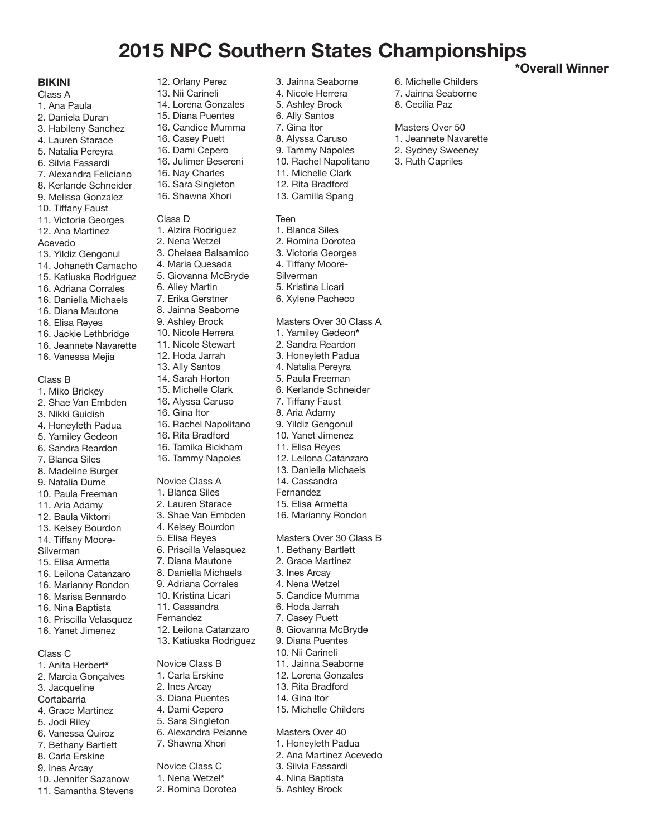# **2015 NPC Southern States Championships**

## **BIKINI**

## Class A

- 1. Ana Paula 2. Daniela Duran 3. Habileny Sanchez 4. Lauren Starace 5. Natalia Pereyra 6. Silvia Fassardi 7. Alexandra Feliciano 8. Kerlande Schneider 9. Melissa Gonzalez 10. Tiffany Faust
- 11. Victoria Georges

12. Ana Martinez

# Acevedo

- 13. Yildiz Gengonul
- 14. Johaneth Camacho
- 15. Katiuska Rodriguez 16. Adriana Corrales
- 
- 16. Daniella Michaels 16. Diana Mautone
- 
- 16. Elisa Reyes
- 16. Jackie Lethbridge 16. Jeannete Navarette
- 16. Vanessa Mejia

#### Class B

- 1. Miko Brickey
- 2. Shae Van Embden
- 3. Nikki Guidish
- 4. Honeyleth Padua
- 5. Yamiley Gedeon 6. Sandra Reardon
- 7. Blanca Siles
- 
- 8. Madeline Burger 9. Natalia Dume
- 10. Paula Freeman
- 11. Aria Adamy
- 12. Baula Viktorri
- 13. Kelsey Bourdon
- 14. Tiffany Moore-
- Silverman
- 15. Elisa Armetta
- 16. Leilona Catanzaro
- 16. Marianny Rondon
- 16. Marisa Bennardo
- 16. Nina Baptista 16. Priscilla Velasquez
- 16. Yanet Jimenez

#### Class C

- 1. Anita Herbert**\*** 2. Marcia Gonçalves 3. Jacqueline Cortabarria 4. Grace Martinez
- 5. Jodi Riley
- 6. Vanessa Quiroz 7. Bethany Bartlett
- 8. Carla Erskine
- 9. Ines Arcay
- 10. Jennifer Sazanow
- 11. Samantha Stevens

12. Orlany Perez 13. Nii Carineli 14. Lorena Gonzales 15. Diana Puentes 16. Candice Mumma 16. Casey Puett

- 16. Dami Cepero 16. Julimer Besereni
- 16. Nay Charles
- 16. Sara Singleton
- 16. Shawna Xhori

#### Class D

1. Alzira Rodriguez 2. Nena Wetzel 3. Chelsea Balsamico 4. Maria Quesada 5. Giovanna McBryde 6. Aliey Martin 7. Erika Gerstner 8. Jainna Seaborne 9. Ashley Brock 10. Nicole Herrera 11. Nicole Stewart 12. Hoda Jarrah 13. Ally Santos 14. Sarah Horton 15. Michelle Clark 16. Alyssa Caruso 16. Gina Itor 16. Rachel Napolitano 16. Rita Bradford 16. Tamika Bickham 16. Tammy Napoles Novice Class A 1. Blanca Siles 2. Lauren Starace 3. Shae Van Embden 4. Kelsey Bourdon 5. Elisa Reyes 6. Priscilla Velasquez 7. Diana Mautone 8. Daniella Michaels 9. Adriana Corrales 10. Kristina Licari 11. Cassandra Fernandez 12. Leilona Catanzaro 13. Katiuska Rodriguez Novice Class B 1. Carla Erskine 2. Ines Arcay 3. Diana Puentes

- 4. Dami Cepero
- 5. Sara Singleton
- 6. Alexandra Pelanne
- 7. Shawna Xhori

# Novice Class C

- 1. Nena Wetzel**\*** 2. Romina Dorotea
- 

3. Jainna Seaborne

6. Michelle Childers 7. Jainna Seaborne 8. Cecilia Paz

**\*Overall Winner**

Masters Over 50 1. Jeannete Navarette 2. Sydney Sweeney 3. Ruth Capriles

- 4. Nicole Herrera
- 5. Ashley Brock
- 6. Ally Santos
- 7. Gina Itor
- 8. Alyssa Caruso
- 9. Tammy Napoles
- 10. Rachel Napolitano
- 11. Michelle Clark 12. Rita Bradford
- 13. Camilla Spang

## Teen

- 1. Blanca Siles
- 2. Romina Dorotea
- 3. Victoria Georges
- 4. Tiffany Moore-
- Silverman
- 5. Kristina Licari
- 6. Xylene Pacheco

Masters Over 30 Class A

- 1. Yamiley Gedeon**\***
- 2. Sandra Reardon
- 3. Honeyleth Padua
- 4. Natalia Pereyra
- 5. Paula Freeman
- 6. Kerlande Schneider
- 7. Tiffany Faust
- 8. Aria Adamy
- 9. Yildiz Gengonul
- 10. Yanet Jimenez
- 11. Elisa Reyes
- 12. Leilona Catanzaro 13. Daniella Michaels
- 14. Cassandra
- Fernandez
- 
- 15. Elisa Armetta
- 16. Marianny Rondon

Masters Over 30 Class B

- 1. Bethany Bartlett
- 2. Grace Martinez
- 3. Ines Arcay
- 4. Nena Wetzel 5. Candice Mumma 6. Hoda Jarrah

7. Casey Puett 8. Giovanna McBryde 9. Diana Puentes 10. Nii Carineli 11. Jainna Seaborne 12. Lorena Gonzales 13. Rita Bradford 14. Gina Itor

15. Michelle Childers

Masters Over 40 1. Honeyleth Padua 2. Ana Martinez Acevedo 3. Silvia Fassardi 4. Nina Baptista 5. Ashley Brock